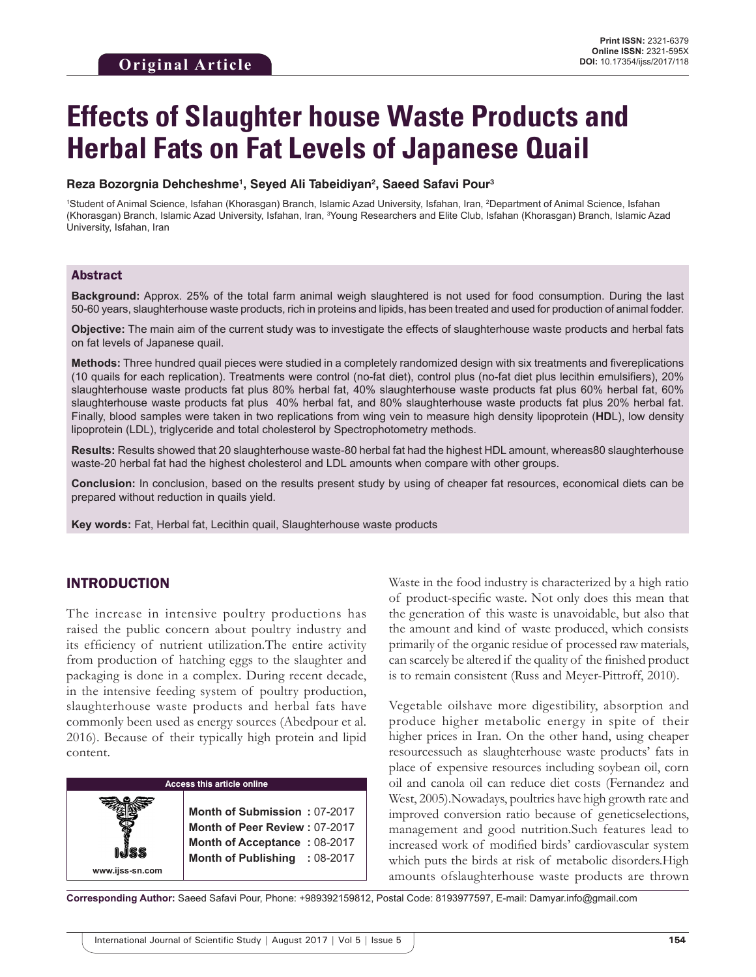# **Effects of Slaughter house Waste Products and Herbal Fats on Fat Levels of Japanese Quail**

#### **Reza Bozorgnia Dehcheshme1 , Seyed Ali Tabeidiyan2 , Saeed Safavi Pour3**

<sup>1</sup>Student of Animal Science, Isfahan (Khorasgan) Branch, Islamic Azad University, Isfahan, Iran, <sup>2</sup>Department of Animal Science, Isfahan (Khorasgan) Branch, Islamic Azad University, Isfahan, Iran, <sup>3</sup>Young Researchers and Elite Club, Isfahan (Khorasgan) Branch, Islamic Azad University, Isfahan, Iran

## Abstract

**Background:** Approx. 25% of the total farm animal weigh slaughtered is not used for food consumption. During the last 50-60 years, slaughterhouse waste products, rich in proteins and lipids, has been treated and used for production of animal fodder.

**Objective:** The main aim of the current study was to investigate the effects of slaughterhouse waste products and herbal fats on fat levels of Japanese quail.

**Methods:** Three hundred quail pieces were studied in a completely randomized design with six treatments and fivereplications (10 quails for each replication). Treatments were control (no-fat diet), control plus (no-fat diet plus lecithin emulsifiers), 20% slaughterhouse waste products fat plus 80% herbal fat, 40% slaughterhouse waste products fat plus 60% herbal fat, 60% slaughterhouse waste products fat plus 40% herbal fat, and 80% slaughterhouse waste products fat plus 20% herbal fat. Finally, blood samples were taken in two replications from wing vein to measure high density lipoprotein (**HD**L), low density lipoprotein (LDL), triglyceride and total cholesterol by Spectrophotometry methods.

**Results:** Results showed that 20 slaughterhouse waste-80 herbal fat had the highest HDL amount, whereas80 slaughterhouse waste-20 herbal fat had the highest cholesterol and LDL amounts when compare with other groups.

**Conclusion:** In conclusion, based on the results present study by using of cheaper fat resources, economical diets can be prepared without reduction in quails yield.

**Key words:** Fat, Herbal fat, Lecithin quail, Slaughterhouse waste products

## INTRODUCTION

**www.ijss-sn.com**

The increase in intensive poultry productions has raised the public concern about poultry industry and its efficiency of nutrient utilization.The entire activity from production of hatching eggs to the slaughter and packaging is done in a complex. During recent decade, in the intensive feeding system of poultry production, slaughterhouse waste products and herbal fats have commonly been used as energy sources (Abedpour et al. 2016). Because of their typically high protein and lipid content.

#### **Access this article online**

**Month of Submission :** 07-2017 **Month of Peer Review :** 07-2017 **Month of Acceptance :** 08-2017 **Month of Publishing :** 08-2017 Waste in the food industry is characterized by a high ratio of product-specific waste. Not only does this mean that the generation of this waste is unavoidable, but also that the amount and kind of waste produced, which consists primarily of the organic residue of processed raw materials, can scarcely be altered if the quality of the finished product is to remain consistent (Russ and Meyer-Pittroff, 2010).

Vegetable oilshave more digestibility, absorption and produce higher metabolic energy in spite of their higher prices in Iran. On the other hand, using cheaper resourcessuch as slaughterhouse waste products' fats in place of expensive resources including soybean oil, corn oil and canola oil can reduce diet costs (Fernandez and West, 2005).Nowadays, poultries have high growth rate and improved conversion ratio because of geneticselections, management and good nutrition.Such features lead to increased work of modified birds' cardiovascular system which puts the birds at risk of metabolic disorders.High amounts ofslaughterhouse waste products are thrown

**Corresponding Author:** Saeed Safavi Pour, Phone: +989392159812, Postal Code: 8193977597, E-mail: Damyar.info@gmail.com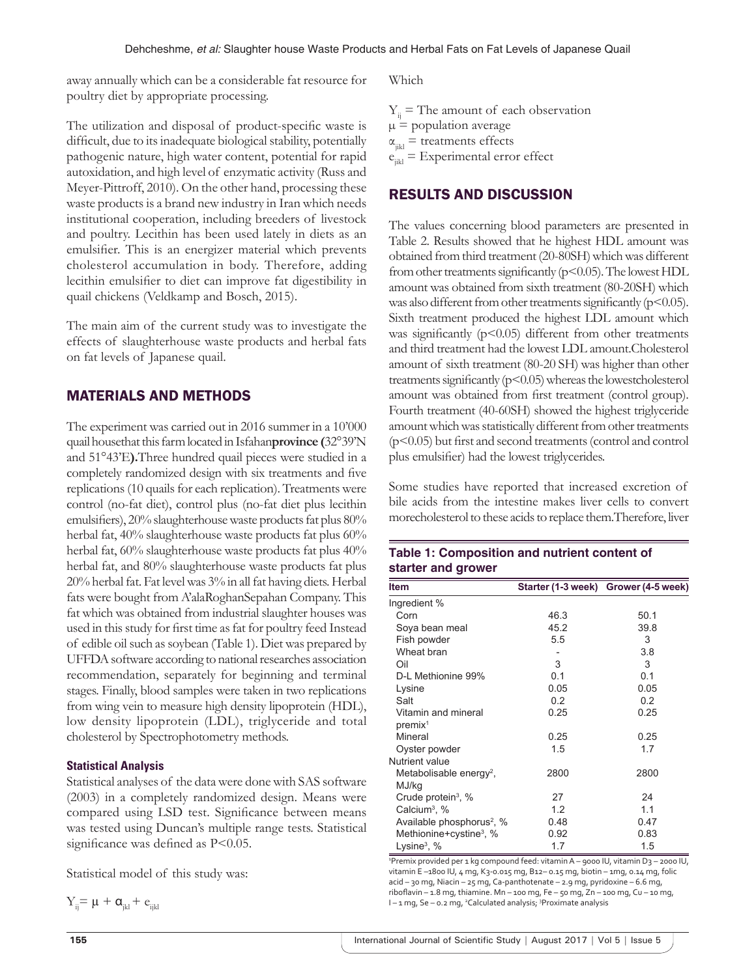away annually which can be a considerable fat resource for poultry diet by appropriate processing.

The utilization and disposal of product-specific waste is difficult, due to its inadequate biological stability, potentially pathogenic nature, high water content, potential for rapid autoxidation, and high level of enzymatic activity (Russ and Meyer-Pittroff, 2010). On the other hand, processing these waste products is a brand new industry in Iran which needs institutional cooperation, including breeders of livestock and poultry. Lecithin has been used lately in diets as an emulsifier. This is an energizer material which prevents cholesterol accumulation in body. Therefore, adding lecithin emulsifier to diet can improve fat digestibility in quail chickens (Veldkamp and Bosch, 2015).

The main aim of the current study was to investigate the effects of slaughterhouse waste products and herbal fats on fat levels of Japanese quail.

## MATERIALS AND METHODS

The experiment was carried out in 2016 summer in a 10'000 quail housethat this farm located in Isfahan**province (**32°39'N and 51°43'E**).**Three hundred quail pieces were studied in a completely randomized design with six treatments and five replications (10 quails for each replication). Treatments were control (no-fat diet), control plus (no-fat diet plus lecithin emulsifiers), 20% slaughterhouse waste products fat plus 80% herbal fat, 40% slaughterhouse waste products fat plus 60% herbal fat, 60% slaughterhouse waste products fat plus 40% herbal fat, and 80% slaughterhouse waste products fat plus 20% herbal fat. Fat level was 3% in all fat having diets. Herbal fats were bought from A'alaRoghanSepahan Company. This fat which was obtained from industrial slaughter houses was used in this study for first time as fat for poultry feed Instead of edible oil such as soybean (Table 1). Diet was prepared by UFFDA software according to national researches association recommendation, separately for beginning and terminal stages. Finally, blood samples were taken in two replications from wing vein to measure high density lipoprotein (HDL), low density lipoprotein (LDL), triglyceride and total cholesterol by Spectrophotometry methods.

#### **Statistical Analysis**

Statistical analyses of the data were done with SAS software (2003) in a completely randomized design. Means were compared using LSD test. Significance between means was tested using Duncan's multiple range tests. Statistical significance was defined as P<0.05.

Statistical model of this study was:

$$
Y_{\vec{i}j} = \mu + \alpha_{\vec{j}kl} + e_{\vec{i}jkl}
$$

Which

 $Y_i$  = The amount of each observation  $\mu$  = population average  $\alpha_{\text{int}}$  = treatments effects  $e_{ikl} =$  Experimental error effect

## RESULTS AND DISCUSSION

The values concerning blood parameters are presented in Table 2. Results showed that he highest HDL amount was obtained from third treatment (20-80SH) which was different from other treatments significantly ( $p$ <0.05). The lowest HDL amount was obtained from sixth treatment (80-20SH) which was also different from other treatments significantly ( $p$ <0.05). Sixth treatment produced the highest LDL amount which was significantly  $(p<0.05)$  different from other treatments and third treatment had the lowest LDL amount.Cholesterol amount of sixth treatment (80-20 SH) was higher than other treatments significantly  $(p<0.05)$  whereas the lowestcholesterol amount was obtained from first treatment (control group). Fourth treatment (40-60SH) showed the highest triglyceride amount which was statistically different from other treatments (p<0.05) but first and second treatments (control and control plus emulsifier) had the lowest triglycerides.

Some studies have reported that increased excretion of bile acids from the intestine makes liver cells to convert morecholesterol to these acids to replace them.Therefore, liver

**Table 1: Composition and nutrient content of** 

| starter and grower                           |      |                                      |  |  |  |
|----------------------------------------------|------|--------------------------------------|--|--|--|
| <b>Item</b>                                  |      | Starter (1-3 week) Grower (4-5 week) |  |  |  |
| Ingredient %                                 |      |                                      |  |  |  |
| Corn                                         | 46.3 | 50.1                                 |  |  |  |
| Soya bean meal                               | 45.2 | 39.8                                 |  |  |  |
| Fish powder                                  | 5.5  | 3                                    |  |  |  |
| Wheat bran                                   |      | 3.8                                  |  |  |  |
| Oil                                          | 3    | 3                                    |  |  |  |
| D-L Methionine 99%                           | 0.1  | 0.1                                  |  |  |  |
| Lysine                                       | 0.05 | 0.05                                 |  |  |  |
| Salt                                         | 0.2  | 0.2                                  |  |  |  |
| Vitamin and mineral<br>premix <sup>1</sup>   | 0.25 | 0.25                                 |  |  |  |
| Mineral                                      | 0.25 | 0.25                                 |  |  |  |
| Oyster powder                                | 1.5  | 1.7                                  |  |  |  |
| Nutrient value                               |      |                                      |  |  |  |
| Metabolisable energy <sup>2</sup> ,<br>MJ/kg | 2800 | 2800                                 |  |  |  |
| Crude protein <sup>3</sup> , $%$             | 27   | 24                                   |  |  |  |
| Calcium <sup>3</sup> , %                     | 1.2  | 1.1                                  |  |  |  |
| Available phosphorus <sup>2</sup> , %        | 0.48 | 0.47                                 |  |  |  |
| Methionine+cystine <sup>3</sup> , %          | 0.92 | 0.83                                 |  |  |  |
| Lysine $3, \%$                               | 1.7  | 1.5                                  |  |  |  |

Premix provided per 1 kg compound feed: vitamin A - 9000 IU, vitamin D3 - 2000 IU, vitamin E-1800 IU, 4 mg, K3-0.015 mg, B12-0.15 mg, biotin - 1mg, 0.14 mg, folic acid – 30 mg, Niacin – 25 mg, Ca‑panthotenate – 2.9 mg, pyridoxine – 6.6 mg, riboflavin – 1.8 mg, thiamine. Mn – 100 mg, Fe – 50 mg, Zn – 100 mg, Cu – 10 mg, I - 1 mg, Se - 0.2 mg, <sup>2</sup>Calculated analysis; <sup>3</sup>Proximate analysis